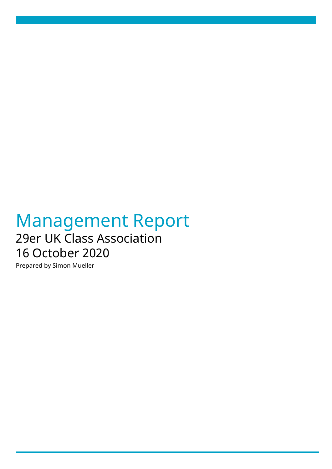# Management Report 29er UK Class Association 16 October 2020

Prepared by Simon Mueller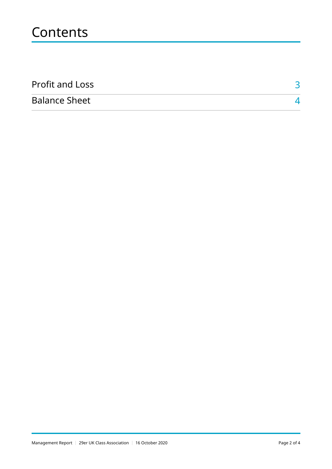# **Contents**

| <b>Profit and Loss</b> |  |
|------------------------|--|
| <b>Balance Sheet</b>   |  |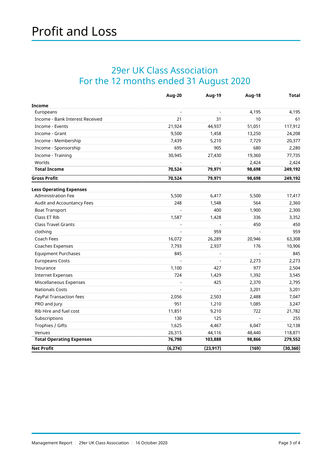### <span id="page-2-0"></span>29er UK Class Association For the 12 months ended 31 August 2020

|                                 | Aug-20   | <b>Aug-19</b> | Aug-18 | Total     |
|---------------------------------|----------|---------------|--------|-----------|
| <b>Income</b>                   |          |               |        |           |
| Europeans                       | ÷,       |               | 4,195  | 4,195     |
| Income - Bank Interest Received | 21       | 31            | 10     | 61        |
| Income - Events                 | 21,924   | 44,937        | 51,051 | 117,912   |
| Income - Grant                  | 9,500    | 1,458         | 13,250 | 24,208    |
| Income - Membership             | 7,439    | 5,210         | 7,729  | 20,377    |
| Income - Sponsorship            | 695      | 905           | 680    | 2,280     |
| Income - Training               | 30,945   | 27,430        | 19,360 | 77,735    |
| Worlds                          |          |               | 2,424  | 2,424     |
| <b>Total Income</b>             | 70,524   | 79,971        | 98,698 | 249,192   |
| <b>Gross Profit</b>             | 70,524   | 79,971        | 98,698 | 249,192   |
| <b>Less Operating Expenses</b>  |          |               |        |           |
| <b>Administration Fee</b>       | 5,500    | 6,417         | 5,500  | 17,417    |
| Audit and Accountancy Fees      | 248      | 1,548         | 564    | 2,360     |
| <b>Boat Transport</b>           |          | 400           | 1,900  | 2,300     |
| Class ET Rib                    | 1,587    | 1,428         | 336    | 3,352     |
| <b>Class Travel Grants</b>      |          |               | 450    | 450       |
| clothing                        |          | 959           |        | 959       |
| Coach Fees                      | 16,072   | 26,289        | 20,946 | 63,308    |
| Coaches Expenses                | 7,793    | 2,937         | 176    | 10,906    |
| <b>Equipment Purchases</b>      | 845      |               |        | 845       |
| <b>Europeans Costs</b>          |          |               | 2,273  | 2,273     |
| Insurance                       | 1,100    | 427           | 977    | 2,504     |
| <b>Internet Expenses</b>        | 724      | 1,429         | 1,392  | 3,545     |
| Miscellaneous Expenses          |          | 425           | 2,370  | 2,795     |
| <b>Nationals Costs</b>          |          |               | 3,201  | 3,201     |
| PayPal Transaction fees         | 2,056    | 2,503         | 2,488  | 7,047     |
| PRO and Jury                    | 951      | 1,210         | 1,085  | 3,247     |
| Rib Hire and fuel cost          | 11,851   | 9,210         | 722    | 21,782    |
| Subscriptions                   | 130      | 125           |        | 255       |
| Trophies / Gifts                | 1,625    | 4,467         | 6,047  | 12,138    |
| Venues                          | 26,315   | 44,116        | 48,440 | 118,871   |
| <b>Total Operating Expenses</b> | 76,798   | 103,888       | 98,866 | 279,552   |
| <b>Net Profit</b>               | (6, 274) | (23, 917)     | (169)  | (30, 360) |